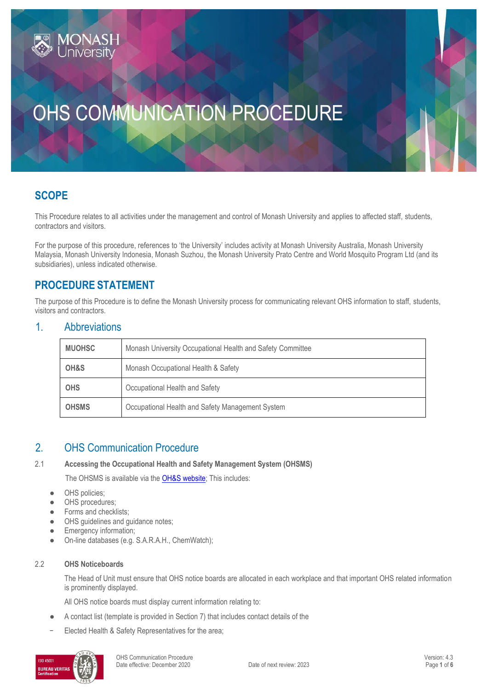# OHS COMMUNICATION PROCEDURE

# **SCOPE**

This Procedure relates to all activities under the management and control of Monash University and applies to affected staff, students, contractors and visitors.

For the purpose of this procedure, references to 'the University' includes activity at Monash University Australia, Monash University Malaysia, Monash University Indonesia, Monash Suzhou, the Monash University Prato Centre and World Mosquito Program Ltd (and its subsidiaries), unless indicated otherwise.

## **PROCEDURE STATEMENT**

The purpose of this Procedure is to define the Monash University process for communicating relevant OHS information to staff, students, visitors and contractors.

## 1. Abbreviations

| <b>MUOHSC</b> | Monash University Occupational Health and Safety Committee |  |
|---------------|------------------------------------------------------------|--|
| OH&S          | Monash Occupational Health & Safety                        |  |
| <b>OHS</b>    | Occupational Health and Safety                             |  |
| <b>OHSMS</b>  | Occupational Health and Safety Management System           |  |

## 2. OHS Communication Procedure

#### 2.1 **Accessing the Occupational Health and Safety Management System (OHSMS)**

The OHSMS is available via th[e OH&S website;](https://www.monash.edu/ohs) This includes:

- OHS policies;
- OHS procedures;
- Forms and checklists;
- OHS guidelines and guidance notes;
- Emergency information;
- On-line databases (e.g. S.A.R.A.H., ChemWatch);

#### 2.2 **OHS Noticeboards**

The Head of Unit must ensure that OHS notice boards are allocated in each workplace and that important OHS related information is prominently displayed.

All OHS notice boards must display current information relating to:

- A contact list (template is provided in Section 7) that includes contact details of the
- Elected Health & Safety Representatives for the area;

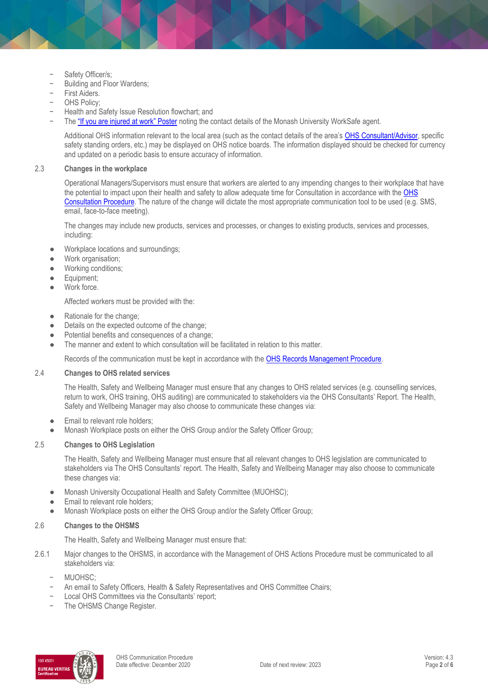- Safety Officer/s;
- Building and Floor Wardens;
- First Aiders.
- OHS Policy;
- − Health and Safety Issue Resolution flowchart; and
- The ["If you are injured at work" Poster](https://www.monash.edu/__data/assets/pdf_file/0012/2756892/injured-at-work.pdf) noting the contact details of the Monash University WorkSafe agent.

Additional OHS information relevant to the local area (such as the contact details of the area's [OHS Consultant/Advisor,](https://www.monash.edu/ohs/AboutUs) specific safety standing orders, etc.) may be displayed on OHS notice boards. The information displayed should be checked for currency and updated on a periodic basis to ensure accuracy of information.

#### 2.3 **Changes in the workplace**

Operational Managers/Supervisors must ensure that workers are alerted to any impending changes to their workplace that have the potential to impact upon their health and safety to allow adequate time for Consultation in accordance with the OHS [Consultation Procedure.](https://publicpolicydms.monash.edu/Monash/documents/1935625) The nature of the change will dictate the most appropriate communication tool to be used (e.g. SMS, email, face-to-face meeting).

The changes may include new products, services and processes, or changes to existing products, services and processes, including:

- Workplace locations and surroundings;
- Work organisation;
- Working conditions;
- Equipment;
- Work force.

Affected workers must be provided with the:

- Rationale for the change;
- Details on the expected outcome of the change;
- Potential benefits and consequences of a change;
- The manner and extent to which consultation will be facilitated in relation to this matter.

Records of the communication must be kept in accordance with th[e OHS Records Management Procedure.](https://publicpolicydms.monash.edu/Monash/documents/1935642)

#### 2.4 **Changes to OHS related services**

The Health, Safety and Wellbeing Manager must ensure that any changes to OHS related services (e.g. counselling services, return to work, OHS training, OHS auditing) are communicated to stakeholders via the OHS Consultants' Report. The Health, Safety and Wellbeing Manager may also choose to communicate these changes via:

- Email to relevant role holders:
- Monash Workplace posts on either the OHS Group and/or the Safety Officer Group;

#### 2.5 **Changes to OHS Legislation**

The Health, Safety and Wellbeing Manager must ensure that all relevant changes to OHS legislation are communicated to stakeholders via The OHS Consultants' report. The Health, Safety and Wellbeing Manager may also choose to communicate these changes via:

- Monash University Occupational Health and Safety Committee (MUOHSC);
- Email to relevant role holders;
- Monash Workplace posts on either the OHS Group and/or the Safety Officer Group;

#### 2.6 **Changes to the OHSMS**

The Health, Safety and Wellbeing Manager must ensure that:

- 2.6.1 Major changes to the OHSMS, in accordance with the Management of OHS Actions Procedure must be communicated to all stakeholders via:
	- − MUOHSC;
	- − An email to Safety Officers, Health & Safety Representatives and OHS Committee Chairs;
	- Local OHS Committees via the Consultants' report;
	- The OHSMS Change Register.

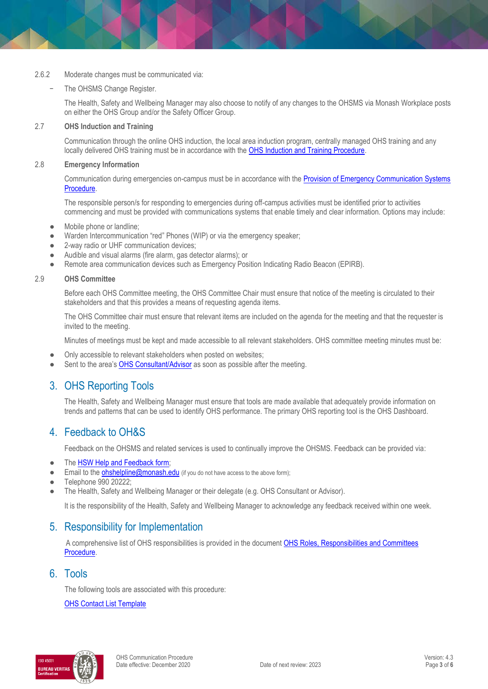#### 2.6.2 Moderate changes must be communicated via:

#### The OHSMS Change Register.

The Health, Safety and Wellbeing Manager may also choose to notify of any changes to the OHSMS via Monash Workplace posts on either the OHS Group and/or the Safety Officer Group.

#### 2.7 **OHS Induction and Training**

Communication through the online OHS induction, the local area induction program, centrally managed OHS training and any locally delivered OHS training must be in accordance with th[e OHS Induction and Training Procedure.](https://publicpolicydms.monash.edu/Monash/documents/1935627)

#### 2.8 **Emergency Information**

Communication during emergencies on-campus must be in accordance with the [Provision of Emergency Communication Systems](https://publicpolicydms.monash.edu/Monash/documents/1935646)  [Procedure.](https://publicpolicydms.monash.edu/Monash/documents/1935646)

The responsible person/s for responding to emergencies during off-campus activities must be identified prior to activities commencing and must be provided with communications systems that enable timely and clear information. Options may include:

- Mobile phone or landline;
- Warden Intercommunication "red" Phones (WIP) or via the emergency speaker;
- 2-way radio or UHF communication devices;
- Audible and visual alarms (fire alarm, gas detector alarms); or
- Remote area communication devices such as Emergency Position Indicating Radio Beacon (EPIRB).

#### 2.9 **OHS Committee**

Before each OHS Committee meeting, the OHS Committee Chair must ensure that notice of the meeting is circulated to their stakeholders and that this provides a means of requesting agenda items.

The OHS Committee chair must ensure that relevant items are included on the agenda for the meeting and that the requester is invited to the meeting.

Minutes of meetings must be kept and made accessible to all relevant stakeholders. OHS committee meeting minutes must be:

- Only accessible to relevant stakeholders when posted on websites;
- Sent to the area's [OHS Consultant/Advisor](https://www.monash.edu/ohs/AboutUs) as soon as possible after the meeting.

## 3. OHS Reporting Tools

The Health, Safety and Wellbeing Manager must ensure that tools are made available that adequately provide information on trends and patterns that can be used to identify OHS performance. The primary OHS reporting tool is the OHS Dashboard.

## 4. Feedback to OH&S

Feedback on the OHSMS and related services is used to continually improve the OHSMS. Feedback can be provided via:

- The HSW Help and [Feedback form;](https://www.monash.edu/ohs/sarah/hsw-feedback-form2)
- Email to the [ohshelpline@monash.edu](file://///ad.monash.edu/home/User064/cnatalie/Desktop/OHS%20WMP/ohshelpline@monash.edu) (if you do not have access to the above form);
- Telephone 990 20222:
- The Health, Safety and Wellbeing Manager or their delegate (e.g. OHS Consultant or Advisor).

It is the responsibility of the Health, Safety and Wellbeing Manager to acknowledge any feedback received within one week.

## 5. Responsibility for Implementation

A comprehensive list of OHS responsibilities is provided in the document [OHS Roles, Responsibilities and Committees](https://publicpolicydms.monash.edu/Monash/documents/1935644)  [Procedure.](https://publicpolicydms.monash.edu/Monash/documents/1935644) 

#### 6. Tools

The following tools are associated with this procedure: [OHS Contact List Template](https://www.monash.edu/__data/assets/word_doc/0017/2430503/OHS-Contact-List-Template.docx)

BUREAU VERI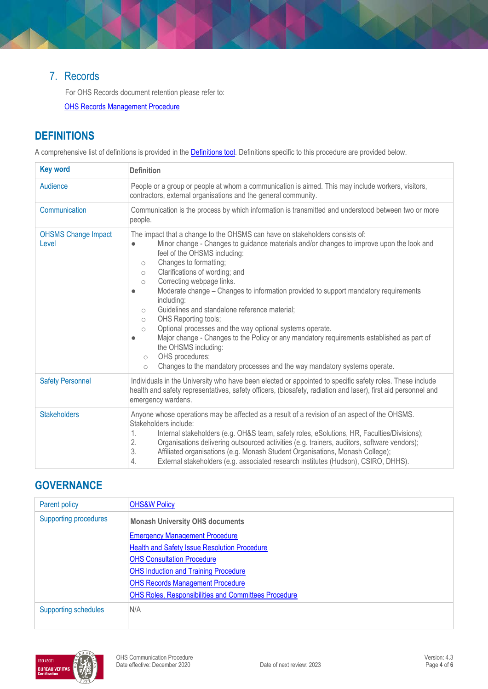## 7. Records

For OHS Records document retention please refer to:

**[OHS Records Management Procedure](https://publicpolicydms.monash.edu/Monash/documents/1935642)** 

## **DEFINITIONS**

A comprehensive list of definitions is provided in the **Definitions tool**. Definitions specific to this procedure are provided below.

| <b>Key word</b>                     | <b>Definition</b>                                                                                                                                                                                                                                                                                                                                                                                                                                                                                                                                                                                                                                                                                                                                                                                                                                                                                                 |  |  |
|-------------------------------------|-------------------------------------------------------------------------------------------------------------------------------------------------------------------------------------------------------------------------------------------------------------------------------------------------------------------------------------------------------------------------------------------------------------------------------------------------------------------------------------------------------------------------------------------------------------------------------------------------------------------------------------------------------------------------------------------------------------------------------------------------------------------------------------------------------------------------------------------------------------------------------------------------------------------|--|--|
| Audience                            | People or a group or people at whom a communication is aimed. This may include workers, visitors,<br>contractors, external organisations and the general community.                                                                                                                                                                                                                                                                                                                                                                                                                                                                                                                                                                                                                                                                                                                                               |  |  |
| Communication                       | Communication is the process by which information is transmitted and understood between two or more<br>people.                                                                                                                                                                                                                                                                                                                                                                                                                                                                                                                                                                                                                                                                                                                                                                                                    |  |  |
| <b>OHSMS Change Impact</b><br>Level | The impact that a change to the OHSMS can have on stakeholders consists of:<br>Minor change - Changes to guidance materials and/or changes to improve upon the look and<br>$\bullet$<br>feel of the OHSMS including:<br>Changes to formatting;<br>$\circlearrowright$<br>Clarifications of wording; and<br>$\circ$<br>Correcting webpage links.<br>$\circ$<br>Moderate change – Changes to information provided to support mandatory requirements<br>$\bullet$<br>including:<br>Guidelines and standalone reference material;<br>$\circ$<br><b>OHS Reporting tools;</b><br>$\circ$<br>Optional processes and the way optional systems operate.<br>$\circ$<br>Major change - Changes to the Policy or any mandatory requirements established as part of<br>$\bullet$<br>the OHSMS including:<br>OHS procedures;<br>$\circ$<br>Changes to the mandatory processes and the way mandatory systems operate.<br>$\circ$ |  |  |
| <b>Safety Personnel</b>             | Individuals in the University who have been elected or appointed to specific safety roles. These include<br>health and safety representatives, safety officers, (biosafety, radiation and laser), first aid personnel and<br>emergency wardens.                                                                                                                                                                                                                                                                                                                                                                                                                                                                                                                                                                                                                                                                   |  |  |
| <b>Stakeholders</b>                 | Anyone whose operations may be affected as a result of a revision of an aspect of the OHSMS.<br>Stakeholders include:<br>1.<br>Internal stakeholders (e.g. OH&S team, safety roles, eSolutions, HR, Faculties/Divisions);<br>2.<br>Organisations delivering outsourced activities (e.g. trainers, auditors, software vendors);<br>3.<br>Affiliated organisations (e.g. Monash Student Organisations, Monash College);<br>External stakeholders (e.g. associated research institutes (Hudson), CSIRO, DHHS).<br>4.                                                                                                                                                                                                                                                                                                                                                                                                 |  |  |

## **GOVERNANCE**

| Parent policy                                                          | <b>OHS&amp;W Policy</b>                                     |  |
|------------------------------------------------------------------------|-------------------------------------------------------------|--|
| <b>Supporting procedures</b><br><b>Monash University OHS documents</b> |                                                             |  |
|                                                                        | <b>Emergency Management Procedure</b>                       |  |
|                                                                        | Health and Safety Issue Resolution Procedure                |  |
|                                                                        | <b>OHS Consultation Procedure</b>                           |  |
|                                                                        | <b>OHS Induction and Training Procedure</b>                 |  |
|                                                                        | <b>OHS Records Management Procedure</b>                     |  |
|                                                                        | <b>OHS Roles, Responsibilities and Committees Procedure</b> |  |
| <b>Supporting schedules</b>                                            | N/A                                                         |  |

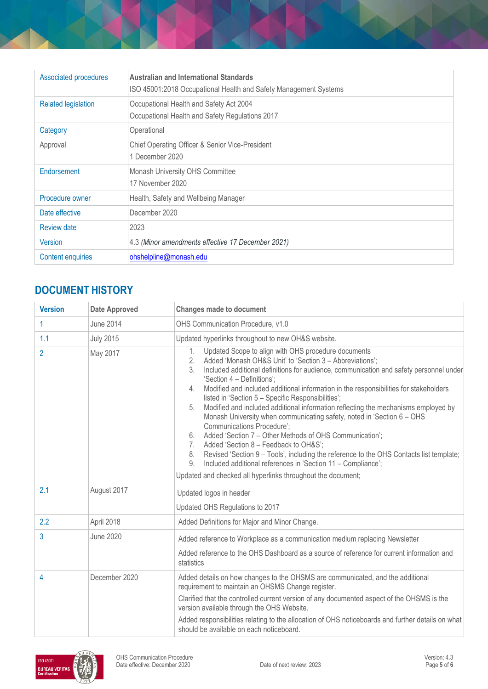| Associated procedures      | <b>Australian and International Standards</b><br>ISO 45001:2018 Occupational Health and Safety Management Systems |  |
|----------------------------|-------------------------------------------------------------------------------------------------------------------|--|
| <b>Related legislation</b> | Occupational Health and Safety Act 2004<br>Occupational Health and Safety Regulations 2017                        |  |
| Category                   | Operational                                                                                                       |  |
| Approval                   | Chief Operating Officer & Senior Vice-President<br>1 December 2020                                                |  |
| Endorsement                | Monash University OHS Committee<br>17 November 2020                                                               |  |
| Procedure owner            | Health, Safety and Wellbeing Manager                                                                              |  |
| Date effective             | December 2020                                                                                                     |  |
| Review date                | 2023                                                                                                              |  |
| <b>Version</b>             | 4.3 (Minor amendments effective 17 December 2021)                                                                 |  |
| <b>Content enquiries</b>   | ohshelpline@monash.edu                                                                                            |  |

# **DOCUMENT HISTORY**

| <b>Version</b> | <b>Date Approved</b> | <b>Changes made to document</b>                                                                                                                                                                                                                                                                                                                                                                                                                                                                                                                                                                                                                                                                                                                                                                                                                                                                                                                                                 |
|----------------|----------------------|---------------------------------------------------------------------------------------------------------------------------------------------------------------------------------------------------------------------------------------------------------------------------------------------------------------------------------------------------------------------------------------------------------------------------------------------------------------------------------------------------------------------------------------------------------------------------------------------------------------------------------------------------------------------------------------------------------------------------------------------------------------------------------------------------------------------------------------------------------------------------------------------------------------------------------------------------------------------------------|
| 1              | <b>June 2014</b>     | OHS Communication Procedure, v1.0                                                                                                                                                                                                                                                                                                                                                                                                                                                                                                                                                                                                                                                                                                                                                                                                                                                                                                                                               |
| 1.1            | <b>July 2015</b>     | Updated hyperlinks throughout to new OH&S website.                                                                                                                                                                                                                                                                                                                                                                                                                                                                                                                                                                                                                                                                                                                                                                                                                                                                                                                              |
| $\overline{2}$ | May 2017             | Updated Scope to align with OHS procedure documents<br>1.<br>Added 'Monash OH&S Unit' to 'Section 3 - Abbreviations';<br>2.<br>3.<br>Included additional definitions for audience, communication and safety personnel under<br>'Section 4 - Definitions':<br>Modified and included additional information in the responsibilities for stakeholders<br>4.<br>listed in 'Section 5 - Specific Responsibilities';<br>Modified and included additional information reflecting the mechanisms employed by<br>5.<br>Monash University when communicating safety, noted in 'Section 6 - OHS<br><b>Communications Procedure';</b><br>Added 'Section 7 - Other Methods of OHS Communication';<br>6.<br>Added 'Section 8 - Feedback to OH&S';<br>7.<br>Revised 'Section 9 - Tools', including the reference to the OHS Contacts list template;<br>8.<br>Included additional references in 'Section 11 - Compliance';<br>9.<br>Updated and checked all hyperlinks throughout the document; |
| 2.1            | August 2017          | Updated logos in header<br>Updated OHS Regulations to 2017                                                                                                                                                                                                                                                                                                                                                                                                                                                                                                                                                                                                                                                                                                                                                                                                                                                                                                                      |
| 2.2            | April 2018           | Added Definitions for Major and Minor Change.                                                                                                                                                                                                                                                                                                                                                                                                                                                                                                                                                                                                                                                                                                                                                                                                                                                                                                                                   |
| 3              | <b>June 2020</b>     | Added reference to Workplace as a communication medium replacing Newsletter<br>Added reference to the OHS Dashboard as a source of reference for current information and<br>statistics                                                                                                                                                                                                                                                                                                                                                                                                                                                                                                                                                                                                                                                                                                                                                                                          |
| 4              | December 2020        | Added details on how changes to the OHSMS are communicated, and the additional<br>requirement to maintain an OHSMS Change register.<br>Clarified that the controlled current version of any documented aspect of the OHSMS is the<br>version available through the OHS Website.<br>Added responsibilities relating to the allocation of OHS noticeboards and further details on what<br>should be available on each noticeboard.                                                                                                                                                                                                                                                                                                                                                                                                                                                                                                                                                |